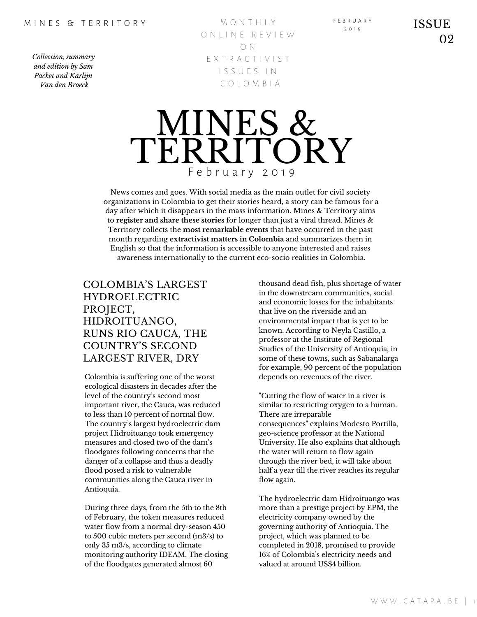M O N T H L Y ON LINE REVIEW O N E X T R A C T I V I S T I S S U E S I N C O L O M B I A



News comes and goes. With social media as the main outlet for civil society organizations in Colombia to get their stories heard, a story can be famous for a day after which it disappears in the mass information. Mines & Territory aims to **register and share these stories** for longer than just a viral thread. Mines & Territory collects the **most remarkable events** that have occurred in the past month regarding **extractivist matters in Colombia** and summarizes them in English so that the information is accessible to anyone interested and raises awareness internationally to the current eco-socio realities in Colombia.

## COLOMBIA'S LARGEST HYDROELECTRIC PROJECT, HIDROITUANGO, RUNS RIO CAUCA, THE COUNTRY'S SECOND LARGEST RIVER, DRY

Colombia is suffering one of the worst ecological disasters in decades after the level of the country's second most important river, the Cauca, was reduced to less than 10 percent of normal flow. The country's largest hydroelectric dam project Hidroituango took emergency measures and closed two of the dam's floodgates following concerns that the danger of a collapse and thus a deadly flood posed a risk to vulnerable communities along the Cauca river in Antioquia.

During three days, from the 5th to the 8th of February, the token measures reduced water flow from a normal dry-season 450 to 500 cubic meters per second (m3/s) to only 35 m3/s, according to climate monitoring authority IDEAM. The closing of the floodgates generated almost 60

thousand dead fish, plus shortage of water in the downstream communities, social and economic losses for the inhabitants that live on the riverside and an environmental impact that is yet to be known. According to Neyla Castillo, a professor at the Institute of Regional Studies of the University of Antioquia, in some of these towns, such as Sabanalarga for example, 90 percent of the population depends on revenues of the river.

F E B R U A R Y

"Cutting the flow of water in a river is similar to restricting oxygen to a human. There are irreparable consequences" explains Modesto Portilla, geo-science professor at the National University. He also explains that although the water will return to flow again through the river bed, it will take about half a year till the river reaches its regular flow again.

The hydroelectric dam Hidroituango was more than a prestige project by EPM, the electricity company owned by the governing authority of Antioquia. The project, which was planned to be completed in 2018, promised to provide 16% of Colombia's electricity needs and valued at around US\$4 billion.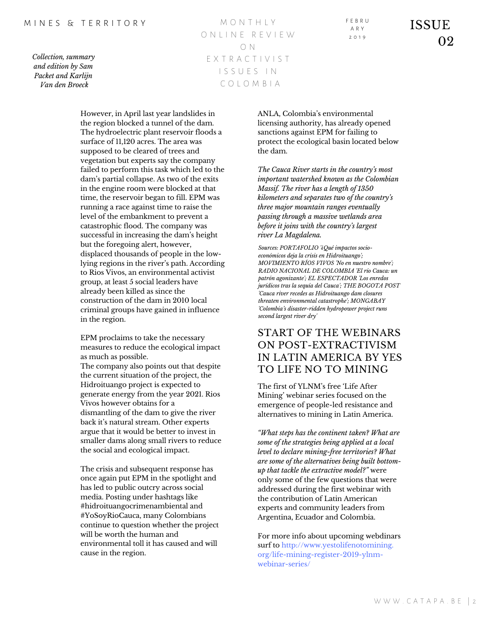#### M I N F S & T F R R I T O R Y

*Collection, summary and edition by Sam Packet and Karlijn Van den Broeck*

M O N T H L Y O N L I N E R E V I E W O N E X T R A C T I V I S T I S S U E S I N C O L O M B I A

However, in April last year landslides in the region blocked a tunnel of the dam. The hydroelectric plant reservoir floods a surface of 11,120 acres. The area was supposed to be cleared of trees and vegetation but experts say the company failed to perform this task which led to the dam's partial collapse. As two of the exits in the engine room were blocked at that time, the reservoir began to fill. EPM was running a race against time to raise the level of the embankment to prevent a catastrophic flood. The company was successful in increasing the dam's height but the foregoing alert, however, displaced thousands of people in the lowlying regions in the river's path. According to Rios Vivos, an environmental activist group, at least 5 social leaders have already been killed as since the construction of the dam in 2010 local criminal groups have gained in influence in the region.

EPM proclaims to take the necessary measures to reduce the ecological impact as much as possible. The company also points out that despite the current situation of the project, the Hidroituango project is expected to generate energy from the year 2021. Rios Vivos however obtains for a dismantling of the dam to give the river back it's natural stream. Other experts argue that it would be better to invest in smaller dams along small rivers to reduce the social and ecological impact.

The crisis and subsequent response has once again put EPM in the spotlight and has led to public outcry across social media. Posting under hashtags like #hidroituangocrimenambiental and #YoSoyRioCauca, many Colombians continue to question whether the project will be worth the human and environmental toll it has caused and will cause in the region.

ANLA, Colombia's environmental licensing authority, has already opened sanctions against EPM for failing to protect the ecological basin located below the dam.

F E B R U A R Y 2 0 1 9

*The Cauca River starts in the country's most important watershed known as the Colombian Massif. The river has a length of 1350 kilometers and separates two of the country's three major mountain ranges eventually passing through a massive wetlands area before it joins with the country's largest river La Magdalena.*

*Sources: PORTAFOLIO '¿Qué impactos socioeconómicos deja la crisis en Hidroituango'; MOVIMIENTO RÍOS VIVOS 'No en nuestro nombre'; RADIO NACIONAL DE COLOMBIA 'El río Cauca: un patrón agonizante'; EL ESPECTADOR 'Los enredos jurídicos tras la sequía del Cauca'; THE BOGOTA POST 'Cauca river recedes as Hidroituango dam closures threaten environmental catastrophe'; MONGABAY 'Colombia's disaster-ridden hydropower project runs second largest river dry'*

## START OF THE WEBINARS ON POST-EXTRACTIVISM IN LATIN AMERICA BY YES TO LIFE NO TO MINING

The first of YLNM's free 'Life After Mining' webinar series focused on the emergence of people-led resistance and alternatives to mining in Latin America.

*"What steps has the continent taken? What are some of the strategies being applied at a local level to declare mining-free territories? What are some of the alternatives being built bottomup that tackle the extractive model?"* were only some of the few questions that were addressed during the first webinar with the contribution of Latin American experts and community leaders from Argentina, Ecuador and Colombia.

For more info about upcoming webdinars surf to http://www.yestolifenotomining. org/life-mining-register-2019-ylnmwebinar-series/

ISSUE 02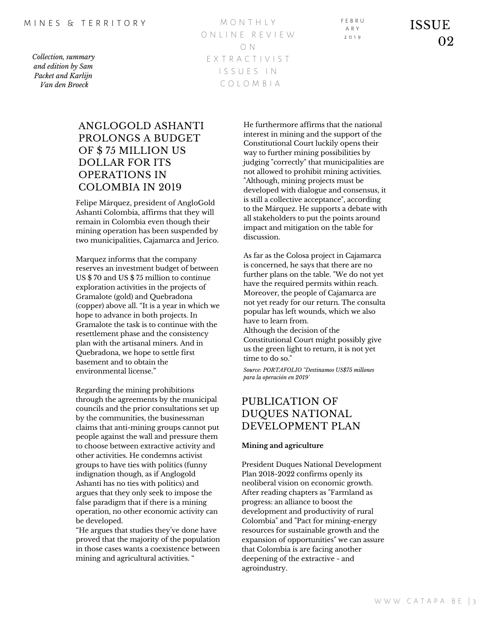M O N T H L Y O N L I N E R E V I E W O N E X T R A C T I V I S T I S S U E S I N C O L O M B I A

F E B R U A R Y 2 0 1 9

ISSUE 02

## ANGLOGOLD ASHANTI PROLONGS A BUDGET OF \$ 75 MILLION US DOLLAR FOR ITS OPERATIONS IN COLOMBIA IN 2019

Felipe Márquez, president of AngloGold Ashanti Colombia, affirms that they will remain in Colombia even though their mining operation has been suspended by two municipalities, Cajamarca and Jerico.

Marquez informs that the company reserves an investment budget of between US \$ 70 and US \$ 75 million to continue exploration activities in the projects of Gramalote (gold) and Quebradona (copper) above all. "It is a year in which we hope to advance in both projects. In Gramalote the task is to continue with the resettlement phase and the consistency plan with the artisanal miners. And in Quebradona, we hope to settle first basement and to obtain the environmental license."

Regarding the mining prohibitions through the agreements by the municipal councils and the prior consultations set up by the communities, the businessman claims that anti-mining groups cannot put people against the wall and pressure them to choose between extractive activity and other activities. He condemns activist groups to have ties with politics (funny indignation though, as if Anglogold Ashanti has no ties with politics) and argues that they only seek to impose the false paradigm that if there is a mining operation, no other economic activity can be developed.

"He argues that studies they've done have proved that the majority of the population in those cases wants a coexistence between mining and agricultural activities. "

He furthermore affirms that the national interest in mining and the support of the Constitutional Court luckily opens their way to further mining possibilities by judging "correctly" that municipalities are not allowed to prohibit mining activities. "Although, mining projects must be developed with dialogue and consensus, it is still a collective acceptance", according to the Márquez. He supports a debate with all stakeholders to put the points around impact and mitigation on the table for discussion.

As far as the Colosa project in Cajamarca is concerned, he says that there are no further plans on the table. "We do not yet have the required permits within reach. Moreover, the people of Cajamarca are not yet ready for our return. The consulta popular has left wounds, which we also have to learn from. Although the decision of the

Constitutional Court might possibly give us the green light to return, it is not yet time to do so."

*Source: PORTAFOLIO ''Destinamos US\$75 millones para la operación en 2019'*

## PUBLICATION OF DUQUES NATIONAL DEVELOPMENT PLAN

#### **Mining and agriculture**

President Duques National Development Plan 2018-2022 confirms openly its neoliberal vision on economic growth. After reading chapters as "Farmland as progress: an alliance to boost the development and productivity of rural Colombia" and "Pact for mining-energy resources for sustainable growth and the expansion of opportunities" we can assure that Colombia is are facing another deepening of the extractive - and agroindustry.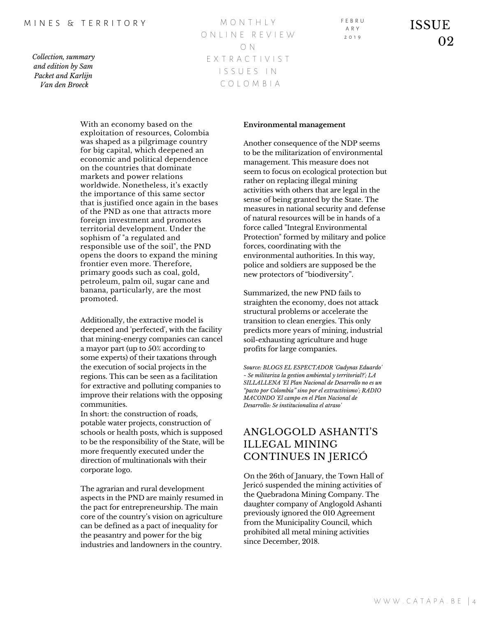#### M I N F S & T F R R I T O R Y

*Collection, summary and edition by Sam Packet and Karlijn Van den Broeck*

M O N T H L Y O N L I N E R E V I E W O N E X T R A C T I V I S T I S S U E S I N C O L O M B I A

With an economy based on the exploitation of resources, Colombia was shaped as a pilgrimage country for big capital, which deepened an economic and political dependence on the countries that dominate markets and power relations worldwide. Nonetheless, it's exactly the importance of this same sector that is justified once again in the bases of the PND as one that attracts more foreign investment and promotes territorial development. Under the sophism of "a regulated and responsible use of the soil", the PND opens the doors to expand the mining frontier even more. Therefore, primary goods such as coal, gold, petroleum, palm oil, sugar cane and banana, particularly, are the most promoted.

Additionally, the extractive model is deepened and 'perfected', with the facility that mining-energy companies can cancel a mayor part (up to 50% according to some experts) of their taxations through the execution of social projects in the regions. This can be seen as a facilitation for extractive and polluting companies to improve their relations with the opposing communities.

In short: the construction of roads, potable water projects, construction of schools or health posts, which is supposed to be the responsibility of the State, will be more frequently executed under the direction of multinationals with their corporate logo.

The agrarian and rural development aspects in the PND are mainly resumed in the pact for entrepreneurship. The main core of the country's vision on agriculture can be defined as a pact of inequality for the peasantry and power for the big industries and landowners in the country.

#### **Environmental management**

Another consequence of the NDP seems to be the militarization of environmental management. This measure does not seem to focus on ecological protection but rather on replacing illegal mining activities with others that are legal in the sense of being granted by the State. The measures in national security and defense of natural resources will be in hands of a force called "Integral Environmental Protection" formed by military and police forces, coordinating with the environmental authorities. In this way, police and soldiers are supposed be the new protectors of "biodiversity".

Summarized, the new PND fails to straighten the economy, does not attack structural problems or accelerate the transition to clean energies. This only predicts more years of mining, industrial soil-exhausting agriculture and huge profits for large companies.

*Source: BLOGS EL ESPECTADOR 'Gudynas Eduardo' ~ Se militariza la gestion ambiental y territorial?'; LA SILLALLENA 'El Plan Nacional de Desarrollo no es un "pacto por Colombia" sino por el extractivismo'; RADIO MACONDO 'El campo en el Plan Nacional de Desarrollo: Se institucionaliza el atraso'*

## ANGLOGOLD ASHANTI'S ILLEGAL MINING CONTINUES IN JERICÓ

On the 26th of January, the Town Hall of Jericó suspended the mining activities of the Quebradona Mining Company. The daughter company of Anglogold Ashanti previously ignored the 010 Agreement from the Municipality Council, which prohibited all metal mining activities since December, 2018.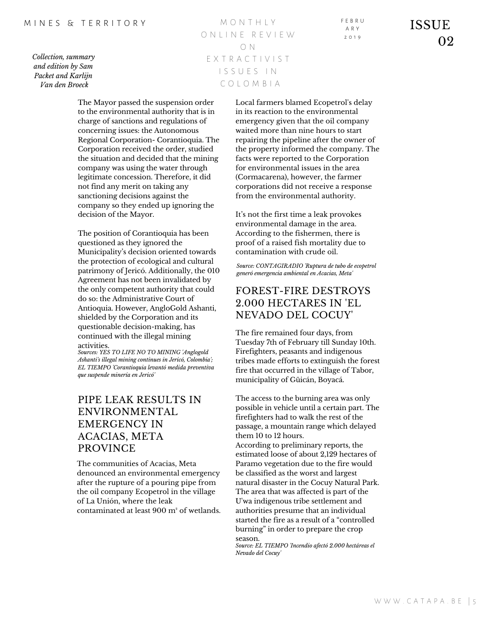M O N T H L Y O N L I N E R E V I E W O N E X T R A C T I V I S T I S S U E S I N C O L O M B I A

The Mayor passed the suspension order to the environmental authority that is in charge of sanctions and regulations of concerning issues: the Autonomous Regional Corporation- Corantioquia. The Corporation received the order, studied the situation and decided that the mining company was using the water through legitimate concession. Therefore, it did not find any merit on taking any sanctioning decisions against the company so they ended up ignoring the decision of the Mayor.

The position of Corantioquia has been questioned as they ignored the Municipality's decision oriented towards the protection of ecological and cultural patrimony of Jericó. Additionally, the 010 Agreement has not been invalidated by the only competent authority that could do so: the Administrative Court of Antioquia. However, AngloGold Ashanti, shielded by the Corporation and its questionable decision-making, has continued with the illegal mining activities.

*Sources: YES TO LIFE NO TO MINING 'Anglogold Ashanti's illegal mining continues in Jericó, Colombia'; EL TIEMPO 'Corantioquia levantó medida preventiva que suspende minería en Jericó'*

## PIPE LEAK RESULTS IN ENVIRONMENTAL EMERGENCY IN ACACIAS, META PROVINCE

The communities of Acacias, Meta denounced an environmental emergency after the rupture of a pouring pipe from the oil company Ecopetrol in the village of La Unión, where the leak contaminated at least 900 m² of wetlands. Local farmers blamed Ecopetrol's delay in its reaction to the environmental emergency given that the oil company waited more than nine hours to start repairing the pipeline after the owner of the property informed the company. The facts were reported to the Corporation for environmental issues in the area (Cormacarena), however, the farmer corporations did not receive a response

It's not the first time a leak provokes environmental damage in the area. According to the fishermen, there is proof of a raised fish mortality due to contamination with crude oil.

from the environmental authority.

*Source: CONTAGIRADIO 'Ruptura de tubo de ecopetrol generó emergencia ambiental en Acacias, Meta'*

# FOREST-FIRE DESTROYS

The fire remained four days, from Tuesday 7th of February till Sunday 10th. Firefighters, peasants and indigenous tribes made efforts to extinguish the forest fire that occurred in the village of Tabor, municipality of Güicán, Boyacá.

The access to the burning area was only possible in vehicle until a certain part. The firefighters had to walk the rest of the passage, a mountain range which delayed them 10 to 12 hours.

According to preliminary reports, the estimated loose of about 2,129 hectares of Paramo vegetation due to the fire would be classified as the worst and largest natural disaster in the Cocuy Natural Park. The area that was affected is part of the U'wa indigenous tribe settlement and authorities presume that an individual started the fire as a result of a "controlled burning" in order to prepare the crop season. *Source: EL TIEMPO 'Incendio afectó 2.000 hectáreas el*

*Nevado del Cocuy'*

## 2.000 HECTARES IN 'EL NEVADO DEL COCUY'

F E B R U A R Y 2 0 1 9